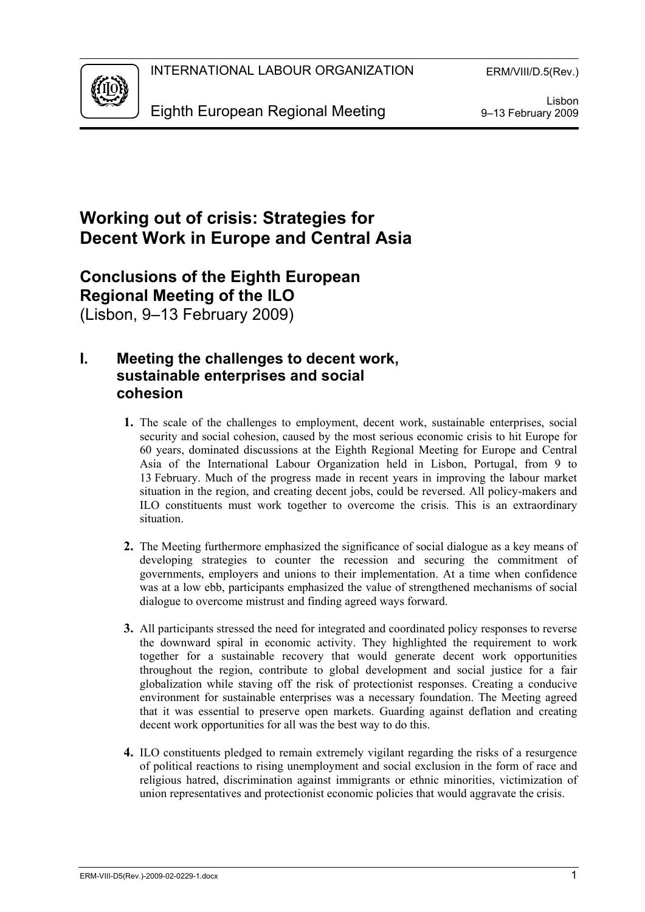

## **Working out of crisis: Strategies for Decent Work in Europe and Central Asia**

# **Conclusions of the Eighth European Regional Meeting of the ILO**

(Lisbon, 9–13 February 2009)

## **I. Meeting the challenges to decent work, sustainable enterprises and social cohesion**

- **1.** The scale of the challenges to employment, decent work, sustainable enterprises, social security and social cohesion, caused by the most serious economic crisis to hit Europe for 60 years, dominated discussions at the Eighth Regional Meeting for Europe and Central Asia of the International Labour Organization held in Lisbon, Portugal, from 9 to 13 February. Much of the progress made in recent years in improving the labour market situation in the region, and creating decent jobs, could be reversed. All policy-makers and ILO constituents must work together to overcome the crisis. This is an extraordinary situation.
- **2.** The Meeting furthermore emphasized the significance of social dialogue as a key means of developing strategies to counter the recession and securing the commitment of governments, employers and unions to their implementation. At a time when confidence was at a low ebb, participants emphasized the value of strengthened mechanisms of social dialogue to overcome mistrust and finding agreed ways forward.
- **3.** All participants stressed the need for integrated and coordinated policy responses to reverse the downward spiral in economic activity. They highlighted the requirement to work together for a sustainable recovery that would generate decent work opportunities throughout the region, contribute to global development and social justice for a fair globalization while staving off the risk of protectionist responses. Creating a conducive environment for sustainable enterprises was a necessary foundation. The Meeting agreed that it was essential to preserve open markets. Guarding against deflation and creating decent work opportunities for all was the best way to do this.
- **4.** ILO constituents pledged to remain extremely vigilant regarding the risks of a resurgence of political reactions to rising unemployment and social exclusion in the form of race and religious hatred, discrimination against immigrants or ethnic minorities, victimization of union representatives and protectionist economic policies that would aggravate the crisis.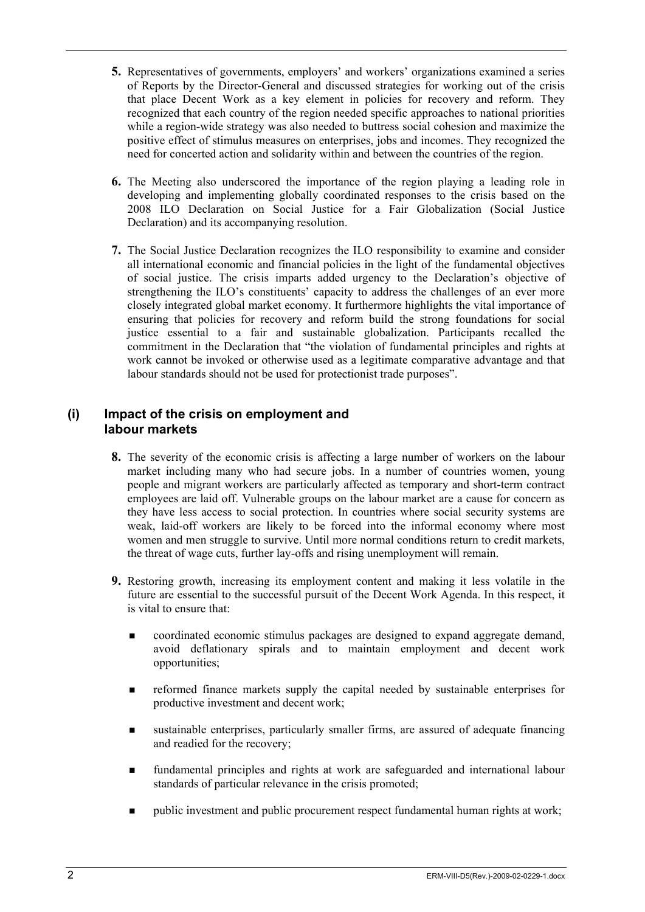- **5.** Representatives of governments, employers' and workers' organizations examined a series of Reports by the Director-General and discussed strategies for working out of the crisis that place Decent Work as a key element in policies for recovery and reform. They recognized that each country of the region needed specific approaches to national priorities while a region-wide strategy was also needed to buttress social cohesion and maximize the positive effect of stimulus measures on enterprises, jobs and incomes. They recognized the need for concerted action and solidarity within and between the countries of the region.
- **6.** The Meeting also underscored the importance of the region playing a leading role in developing and implementing globally coordinated responses to the crisis based on the 2008 ILO Declaration on Social Justice for a Fair Globalization (Social Justice Declaration) and its accompanying resolution.
- **7.** The Social Justice Declaration recognizes the ILO responsibility to examine and consider all international economic and financial policies in the light of the fundamental objectives of social justice. The crisis imparts added urgency to the Declaration's objective of strengthening the ILO's constituents' capacity to address the challenges of an ever more closely integrated global market economy. It furthermore highlights the vital importance of ensuring that policies for recovery and reform build the strong foundations for social justice essential to a fair and sustainable globalization. Participants recalled the commitment in the Declaration that "the violation of fundamental principles and rights at work cannot be invoked or otherwise used as a legitimate comparative advantage and that labour standards should not be used for protectionist trade purposes".

#### **(i) Impact of the crisis on employment and labour markets**

- **8.** The severity of the economic crisis is affecting a large number of workers on the labour market including many who had secure jobs. In a number of countries women, young people and migrant workers are particularly affected as temporary and short-term contract employees are laid off. Vulnerable groups on the labour market are a cause for concern as they have less access to social protection. In countries where social security systems are weak, laid-off workers are likely to be forced into the informal economy where most women and men struggle to survive. Until more normal conditions return to credit markets, the threat of wage cuts, further lay-offs and rising unemployment will remain.
- **9.** Restoring growth, increasing its employment content and making it less volatile in the future are essential to the successful pursuit of the Decent Work Agenda. In this respect, it is vital to ensure that:
	- coordinated economic stimulus packages are designed to expand aggregate demand, avoid deflationary spirals and to maintain employment and decent work opportunities;
	- **F** reformed finance markets supply the capital needed by sustainable enterprises for productive investment and decent work;
	- sustainable enterprises, particularly smaller firms, are assured of adequate financing and readied for the recovery;
	- fundamental principles and rights at work are safeguarded and international labour standards of particular relevance in the crisis promoted;
	- **Public investment and public procurement respect fundamental human rights at work;**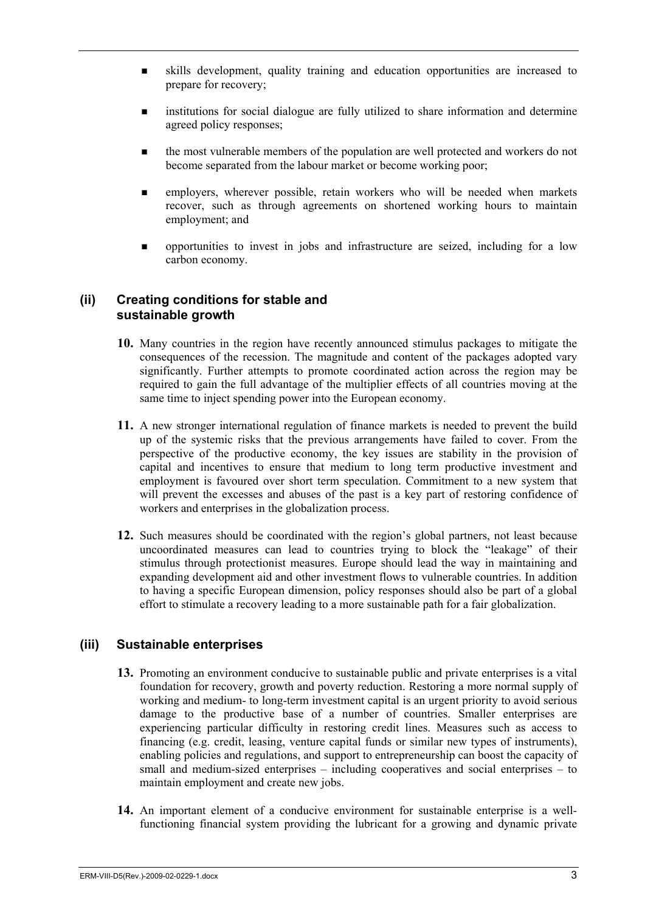- skills development, quality training and education opportunities are increased to prepare for recovery;
- institutions for social dialogue are fully utilized to share information and determine agreed policy responses;
- the most vulnerable members of the population are well protected and workers do not become separated from the labour market or become working poor;
- employers, wherever possible, retain workers who will be needed when markets recover, such as through agreements on shortened working hours to maintain employment; and
- opportunities to invest in jobs and infrastructure are seized, including for a low carbon economy.

#### **(ii) Creating conditions for stable and sustainable growth**

- **10.** Many countries in the region have recently announced stimulus packages to mitigate the consequences of the recession. The magnitude and content of the packages adopted vary significantly. Further attempts to promote coordinated action across the region may be required to gain the full advantage of the multiplier effects of all countries moving at the same time to inject spending power into the European economy.
- **11.** A new stronger international regulation of finance markets is needed to prevent the build up of the systemic risks that the previous arrangements have failed to cover. From the perspective of the productive economy, the key issues are stability in the provision of capital and incentives to ensure that medium to long term productive investment and employment is favoured over short term speculation. Commitment to a new system that will prevent the excesses and abuses of the past is a key part of restoring confidence of workers and enterprises in the globalization process.
- **12.** Such measures should be coordinated with the region's global partners, not least because uncoordinated measures can lead to countries trying to block the "leakage" of their stimulus through protectionist measures. Europe should lead the way in maintaining and expanding development aid and other investment flows to vulnerable countries. In addition to having a specific European dimension, policy responses should also be part of a global effort to stimulate a recovery leading to a more sustainable path for a fair globalization.

#### **(iii) Sustainable enterprises**

- **13.** Promoting an environment conducive to sustainable public and private enterprises is a vital foundation for recovery, growth and poverty reduction. Restoring a more normal supply of working and medium- to long-term investment capital is an urgent priority to avoid serious damage to the productive base of a number of countries. Smaller enterprises are experiencing particular difficulty in restoring credit lines. Measures such as access to financing (e.g. credit, leasing, venture capital funds or similar new types of instruments), enabling policies and regulations, and support to entrepreneurship can boost the capacity of small and medium-sized enterprises – including cooperatives and social enterprises – to maintain employment and create new jobs.
- **14.** An important element of a conducive environment for sustainable enterprise is a wellfunctioning financial system providing the lubricant for a growing and dynamic private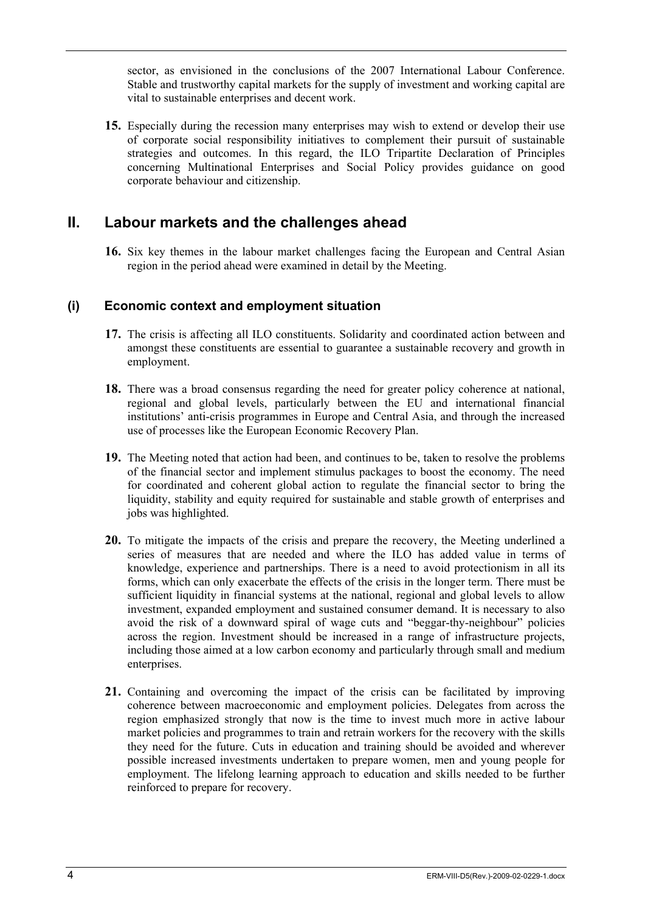sector, as envisioned in the conclusions of the 2007 International Labour Conference. Stable and trustworthy capital markets for the supply of investment and working capital are vital to sustainable enterprises and decent work.

**15.** Especially during the recession many enterprises may wish to extend or develop their use of corporate social responsibility initiatives to complement their pursuit of sustainable strategies and outcomes. In this regard, the ILO Tripartite Declaration of Principles concerning Multinational Enterprises and Social Policy provides guidance on good corporate behaviour and citizenship.

## **II. Labour markets and the challenges ahead**

**16.** Six key themes in the labour market challenges facing the European and Central Asian region in the period ahead were examined in detail by the Meeting.

#### **(i) Economic context and employment situation**

- **17.** The crisis is affecting all ILO constituents. Solidarity and coordinated action between and amongst these constituents are essential to guarantee a sustainable recovery and growth in employment.
- **18.** There was a broad consensus regarding the need for greater policy coherence at national, regional and global levels, particularly between the EU and international financial institutions' anti-crisis programmes in Europe and Central Asia, and through the increased use of processes like the European Economic Recovery Plan.
- **19.** The Meeting noted that action had been, and continues to be, taken to resolve the problems of the financial sector and implement stimulus packages to boost the economy. The need for coordinated and coherent global action to regulate the financial sector to bring the liquidity, stability and equity required for sustainable and stable growth of enterprises and jobs was highlighted.
- **20.** To mitigate the impacts of the crisis and prepare the recovery, the Meeting underlined a series of measures that are needed and where the ILO has added value in terms of knowledge, experience and partnerships. There is a need to avoid protectionism in all its forms, which can only exacerbate the effects of the crisis in the longer term. There must be sufficient liquidity in financial systems at the national, regional and global levels to allow investment, expanded employment and sustained consumer demand. It is necessary to also avoid the risk of a downward spiral of wage cuts and "beggar-thy-neighbour" policies across the region. Investment should be increased in a range of infrastructure projects, including those aimed at a low carbon economy and particularly through small and medium enterprises.
- **21.** Containing and overcoming the impact of the crisis can be facilitated by improving coherence between macroeconomic and employment policies. Delegates from across the region emphasized strongly that now is the time to invest much more in active labour market policies and programmes to train and retrain workers for the recovery with the skills they need for the future. Cuts in education and training should be avoided and wherever possible increased investments undertaken to prepare women, men and young people for employment. The lifelong learning approach to education and skills needed to be further reinforced to prepare for recovery.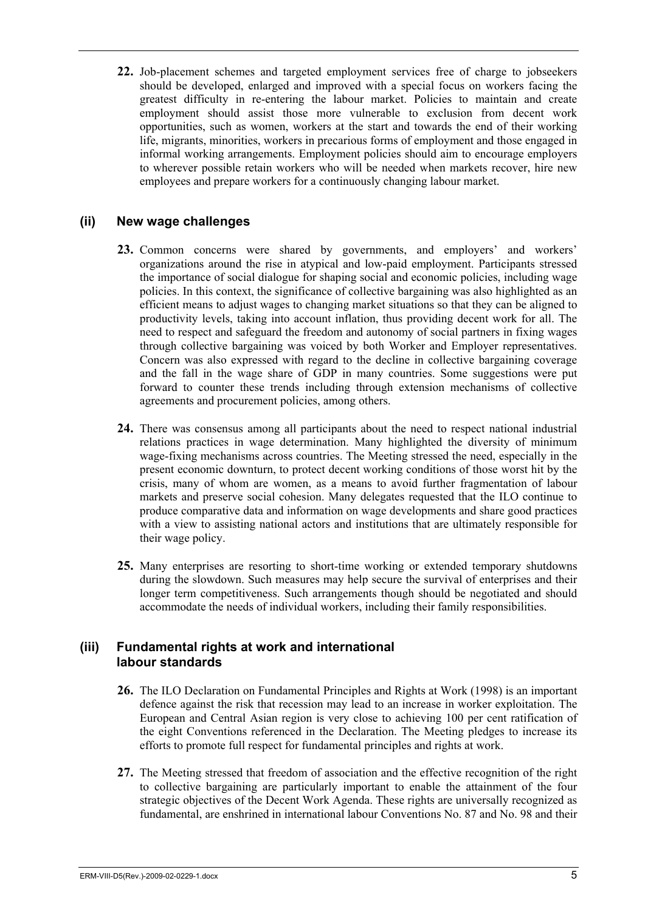**22.** Job-placement schemes and targeted employment services free of charge to jobseekers should be developed, enlarged and improved with a special focus on workers facing the greatest difficulty in re-entering the labour market. Policies to maintain and create employment should assist those more vulnerable to exclusion from decent work opportunities, such as women, workers at the start and towards the end of their working life, migrants, minorities, workers in precarious forms of employment and those engaged in informal working arrangements. Employment policies should aim to encourage employers to wherever possible retain workers who will be needed when markets recover, hire new employees and prepare workers for a continuously changing labour market.

#### **(ii) New wage challenges**

- **23.** Common concerns were shared by governments, and employers' and workers' organizations around the rise in atypical and low-paid employment. Participants stressed the importance of social dialogue for shaping social and economic policies, including wage policies. In this context, the significance of collective bargaining was also highlighted as an efficient means to adjust wages to changing market situations so that they can be aligned to productivity levels, taking into account inflation, thus providing decent work for all. The need to respect and safeguard the freedom and autonomy of social partners in fixing wages through collective bargaining was voiced by both Worker and Employer representatives. Concern was also expressed with regard to the decline in collective bargaining coverage and the fall in the wage share of GDP in many countries. Some suggestions were put forward to counter these trends including through extension mechanisms of collective agreements and procurement policies, among others.
- **24.** There was consensus among all participants about the need to respect national industrial relations practices in wage determination. Many highlighted the diversity of minimum wage-fixing mechanisms across countries. The Meeting stressed the need, especially in the present economic downturn, to protect decent working conditions of those worst hit by the crisis, many of whom are women, as a means to avoid further fragmentation of labour markets and preserve social cohesion. Many delegates requested that the ILO continue to produce comparative data and information on wage developments and share good practices with a view to assisting national actors and institutions that are ultimately responsible for their wage policy.
- **25.** Many enterprises are resorting to short-time working or extended temporary shutdowns during the slowdown. Such measures may help secure the survival of enterprises and their longer term competitiveness. Such arrangements though should be negotiated and should accommodate the needs of individual workers, including their family responsibilities.

#### **(iii) Fundamental rights at work and international labour standards**

- **26.** The ILO Declaration on Fundamental Principles and Rights at Work (1998) is an important defence against the risk that recession may lead to an increase in worker exploitation. The European and Central Asian region is very close to achieving 100 per cent ratification of the eight Conventions referenced in the Declaration. The Meeting pledges to increase its efforts to promote full respect for fundamental principles and rights at work.
- **27.** The Meeting stressed that freedom of association and the effective recognition of the right to collective bargaining are particularly important to enable the attainment of the four strategic objectives of the Decent Work Agenda. These rights are universally recognized as fundamental, are enshrined in international labour Conventions No. 87 and No. 98 and their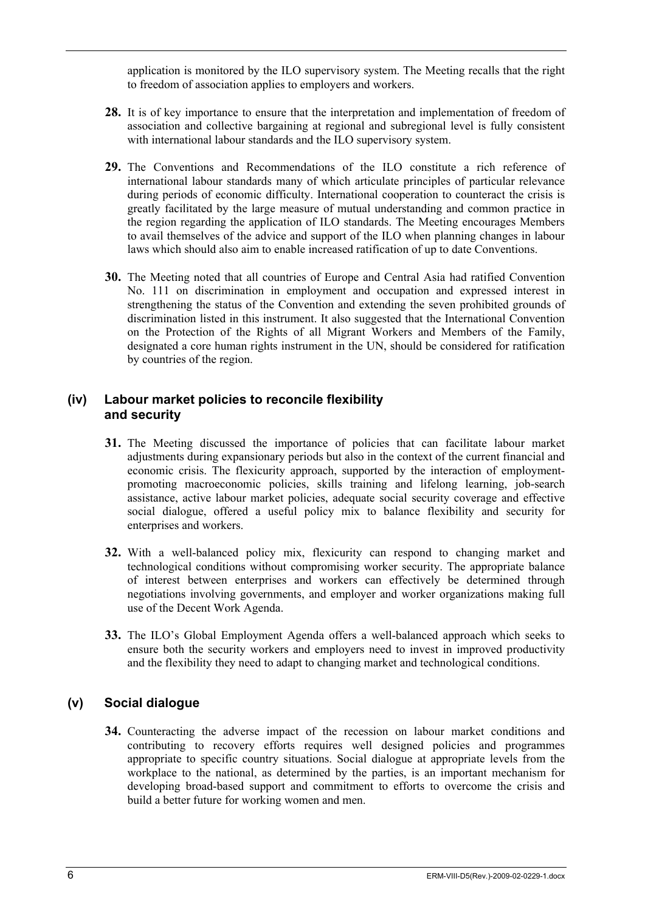application is monitored by the ILO supervisory system. The Meeting recalls that the right to freedom of association applies to employers and workers.

- **28.** It is of key importance to ensure that the interpretation and implementation of freedom of association and collective bargaining at regional and subregional level is fully consistent with international labour standards and the ILO supervisory system.
- **29.** The Conventions and Recommendations of the ILO constitute a rich reference of international labour standards many of which articulate principles of particular relevance during periods of economic difficulty. International cooperation to counteract the crisis is greatly facilitated by the large measure of mutual understanding and common practice in the region regarding the application of ILO standards. The Meeting encourages Members to avail themselves of the advice and support of the ILO when planning changes in labour laws which should also aim to enable increased ratification of up to date Conventions.
- **30.** The Meeting noted that all countries of Europe and Central Asia had ratified Convention No. 111 on discrimination in employment and occupation and expressed interest in strengthening the status of the Convention and extending the seven prohibited grounds of discrimination listed in this instrument. It also suggested that the International Convention on the Protection of the Rights of all Migrant Workers and Members of the Family, designated a core human rights instrument in the UN, should be considered for ratification by countries of the region.

#### **(iv) Labour market policies to reconcile flexibility and security**

- **31.** The Meeting discussed the importance of policies that can facilitate labour market adjustments during expansionary periods but also in the context of the current financial and economic crisis. The flexicurity approach, supported by the interaction of employmentpromoting macroeconomic policies, skills training and lifelong learning, job-search assistance, active labour market policies, adequate social security coverage and effective social dialogue, offered a useful policy mix to balance flexibility and security for enterprises and workers.
- **32.** With a well-balanced policy mix, flexicurity can respond to changing market and technological conditions without compromising worker security. The appropriate balance of interest between enterprises and workers can effectively be determined through negotiations involving governments, and employer and worker organizations making full use of the Decent Work Agenda.
- **33.** The ILO's Global Employment Agenda offers a well-balanced approach which seeks to ensure both the security workers and employers need to invest in improved productivity and the flexibility they need to adapt to changing market and technological conditions.

## **(v) Social dialogue**

**34.** Counteracting the adverse impact of the recession on labour market conditions and contributing to recovery efforts requires well designed policies and programmes appropriate to specific country situations. Social dialogue at appropriate levels from the workplace to the national, as determined by the parties, is an important mechanism for developing broad-based support and commitment to efforts to overcome the crisis and build a better future for working women and men.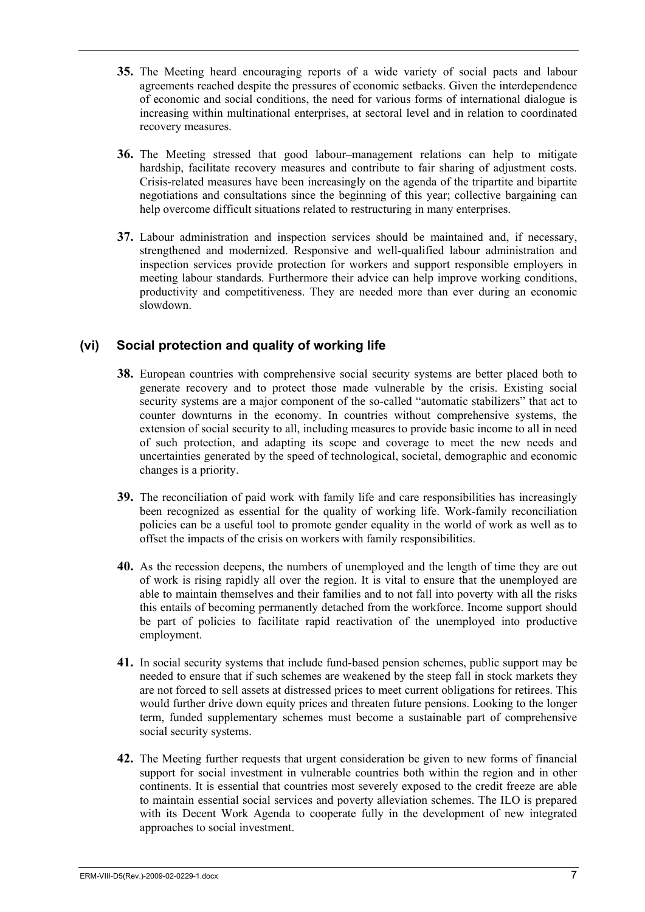- **35.** The Meeting heard encouraging reports of a wide variety of social pacts and labour agreements reached despite the pressures of economic setbacks. Given the interdependence of economic and social conditions, the need for various forms of international dialogue is increasing within multinational enterprises, at sectoral level and in relation to coordinated recovery measures.
- **36.** The Meeting stressed that good labour–management relations can help to mitigate hardship, facilitate recovery measures and contribute to fair sharing of adjustment costs. Crisis-related measures have been increasingly on the agenda of the tripartite and bipartite negotiations and consultations since the beginning of this year; collective bargaining can help overcome difficult situations related to restructuring in many enterprises.
- **37.** Labour administration and inspection services should be maintained and, if necessary, strengthened and modernized. Responsive and well-qualified labour administration and inspection services provide protection for workers and support responsible employers in meeting labour standards. Furthermore their advice can help improve working conditions, productivity and competitiveness. They are needed more than ever during an economic slowdown.

#### **(vi) Social protection and quality of working life**

- **38.** European countries with comprehensive social security systems are better placed both to generate recovery and to protect those made vulnerable by the crisis. Existing social security systems are a major component of the so-called "automatic stabilizers" that act to counter downturns in the economy. In countries without comprehensive systems, the extension of social security to all, including measures to provide basic income to all in need of such protection, and adapting its scope and coverage to meet the new needs and uncertainties generated by the speed of technological, societal, demographic and economic changes is a priority.
- **39.** The reconciliation of paid work with family life and care responsibilities has increasingly been recognized as essential for the quality of working life. Work-family reconciliation policies can be a useful tool to promote gender equality in the world of work as well as to offset the impacts of the crisis on workers with family responsibilities.
- **40.** As the recession deepens, the numbers of unemployed and the length of time they are out of work is rising rapidly all over the region. It is vital to ensure that the unemployed are able to maintain themselves and their families and to not fall into poverty with all the risks this entails of becoming permanently detached from the workforce. Income support should be part of policies to facilitate rapid reactivation of the unemployed into productive employment.
- **41.** In social security systems that include fund-based pension schemes, public support may be needed to ensure that if such schemes are weakened by the steep fall in stock markets they are not forced to sell assets at distressed prices to meet current obligations for retirees. This would further drive down equity prices and threaten future pensions. Looking to the longer term, funded supplementary schemes must become a sustainable part of comprehensive social security systems.
- **42.** The Meeting further requests that urgent consideration be given to new forms of financial support for social investment in vulnerable countries both within the region and in other continents. It is essential that countries most severely exposed to the credit freeze are able to maintain essential social services and poverty alleviation schemes. The ILO is prepared with its Decent Work Agenda to cooperate fully in the development of new integrated approaches to social investment.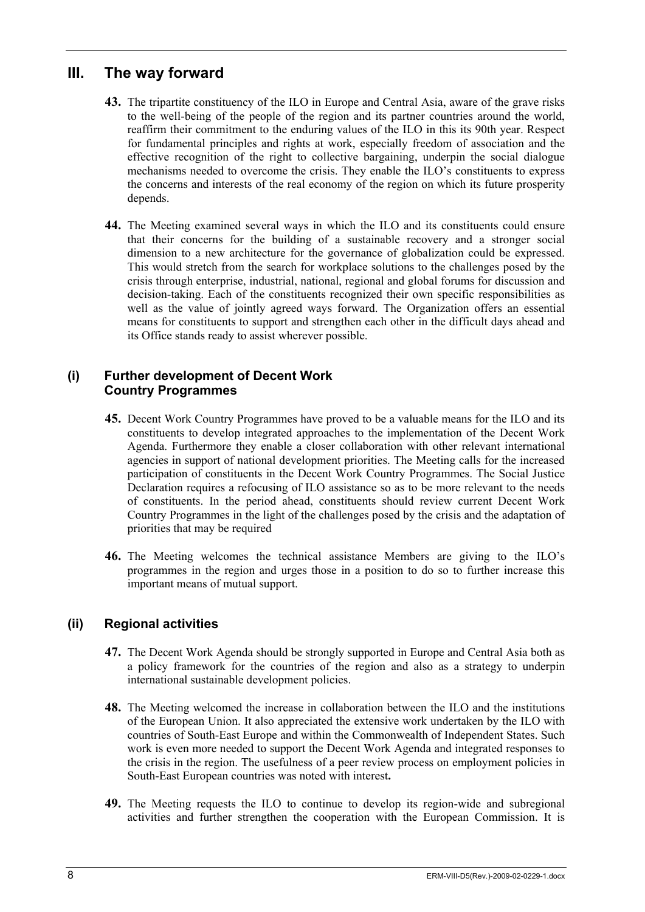## **III. The way forward**

- **43.** The tripartite constituency of the ILO in Europe and Central Asia, aware of the grave risks to the well-being of the people of the region and its partner countries around the world, reaffirm their commitment to the enduring values of the ILO in this its 90th year. Respect for fundamental principles and rights at work, especially freedom of association and the effective recognition of the right to collective bargaining, underpin the social dialogue mechanisms needed to overcome the crisis. They enable the ILO's constituents to express the concerns and interests of the real economy of the region on which its future prosperity depends.
- **44.** The Meeting examined several ways in which the ILO and its constituents could ensure that their concerns for the building of a sustainable recovery and a stronger social dimension to a new architecture for the governance of globalization could be expressed. This would stretch from the search for workplace solutions to the challenges posed by the crisis through enterprise, industrial, national, regional and global forums for discussion and decision-taking. Each of the constituents recognized their own specific responsibilities as well as the value of jointly agreed ways forward. The Organization offers an essential means for constituents to support and strengthen each other in the difficult days ahead and its Office stands ready to assist wherever possible.

#### **(i) Further development of Decent Work Country Programmes**

- **45.** Decent Work Country Programmes have proved to be a valuable means for the ILO and its constituents to develop integrated approaches to the implementation of the Decent Work Agenda. Furthermore they enable a closer collaboration with other relevant international agencies in support of national development priorities. The Meeting calls for the increased participation of constituents in the Decent Work Country Programmes. The Social Justice Declaration requires a refocusing of ILO assistance so as to be more relevant to the needs of constituents. In the period ahead, constituents should review current Decent Work Country Programmes in the light of the challenges posed by the crisis and the adaptation of priorities that may be required
- **46.** The Meeting welcomes the technical assistance Members are giving to the ILO's programmes in the region and urges those in a position to do so to further increase this important means of mutual support.

## **(ii) Regional activities**

- **47.** The Decent Work Agenda should be strongly supported in Europe and Central Asia both as a policy framework for the countries of the region and also as a strategy to underpin international sustainable development policies.
- **48.** The Meeting welcomed the increase in collaboration between the ILO and the institutions of the European Union. It also appreciated the extensive work undertaken by the ILO with countries of South-East Europe and within the Commonwealth of Independent States. Such work is even more needed to support the Decent Work Agenda and integrated responses to the crisis in the region. The usefulness of a peer review process on employment policies in South-East European countries was noted with interest**.**
- **49.** The Meeting requests the ILO to continue to develop its region-wide and subregional activities and further strengthen the cooperation with the European Commission. It is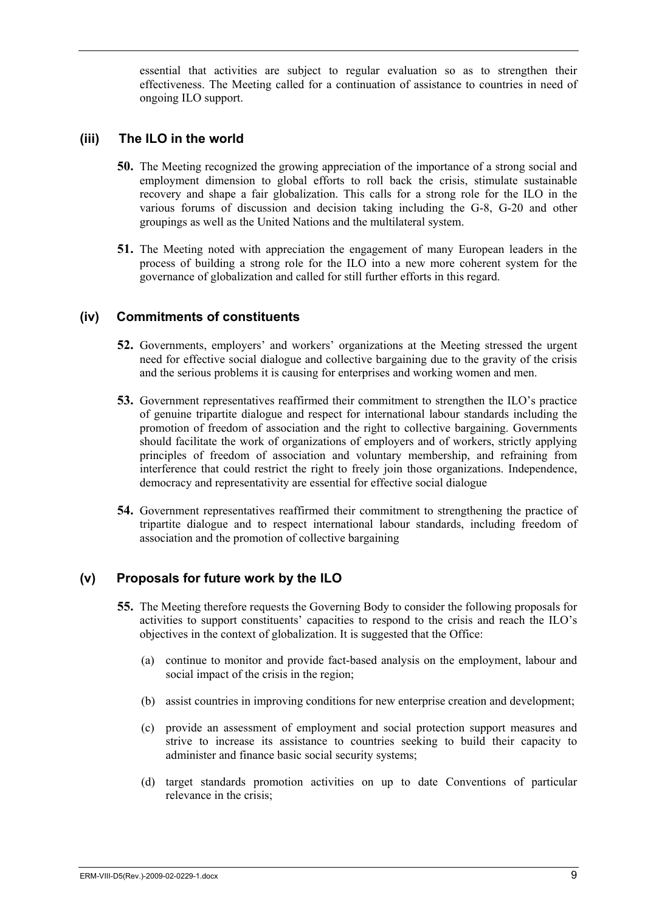essential that activities are subject to regular evaluation so as to strengthen their effectiveness. The Meeting called for a continuation of assistance to countries in need of ongoing ILO support.

#### **(iii) The ILO in the world**

- **50.** The Meeting recognized the growing appreciation of the importance of a strong social and employment dimension to global efforts to roll back the crisis, stimulate sustainable recovery and shape a fair globalization. This calls for a strong role for the ILO in the various forums of discussion and decision taking including the G-8, G-20 and other groupings as well as the United Nations and the multilateral system.
- **51.** The Meeting noted with appreciation the engagement of many European leaders in the process of building a strong role for the ILO into a new more coherent system for the governance of globalization and called for still further efforts in this regard.

#### **(iv) Commitments of constituents**

- **52.** Governments, employers' and workers' organizations at the Meeting stressed the urgent need for effective social dialogue and collective bargaining due to the gravity of the crisis and the serious problems it is causing for enterprises and working women and men.
- **53.** Government representatives reaffirmed their commitment to strengthen the ILO's practice of genuine tripartite dialogue and respect for international labour standards including the promotion of freedom of association and the right to collective bargaining. Governments should facilitate the work of organizations of employers and of workers, strictly applying principles of freedom of association and voluntary membership, and refraining from interference that could restrict the right to freely join those organizations. Independence, democracy and representativity are essential for effective social dialogue
- **54.** Government representatives reaffirmed their commitment to strengthening the practice of tripartite dialogue and to respect international labour standards, including freedom of association and the promotion of collective bargaining

#### **(v) Proposals for future work by the ILO**

- **55.** The Meeting therefore requests the Governing Body to consider the following proposals for activities to support constituents' capacities to respond to the crisis and reach the ILO's objectives in the context of globalization. It is suggested that the Office:
	- (a) continue to monitor and provide fact-based analysis on the employment, labour and social impact of the crisis in the region;
	- (b) assist countries in improving conditions for new enterprise creation and development;
	- (c) provide an assessment of employment and social protection support measures and strive to increase its assistance to countries seeking to build their capacity to administer and finance basic social security systems;
	- (d) target standards promotion activities on up to date Conventions of particular relevance in the crisis;